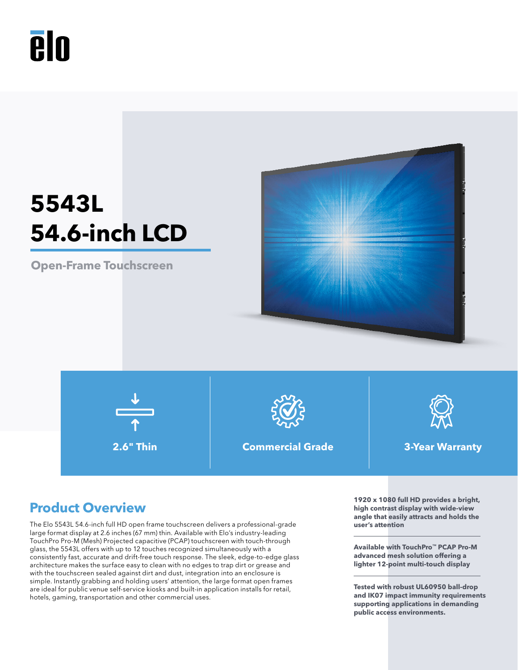

# **5543L 54.6-inch LCD**

**Open-Frame Touchscreen**





**2.6" Thin Commercial Grade 3-Year Warranty**



The Elo 5543L 54.6-inch full HD open frame touchscreen delivers a professional-grade large format display at 2.6 inches (67 mm) thin. Available with Elo's industry-leading TouchPro Pro-M (Mesh) Projected capacitive (PCAP) touchscreen with touch-through glass, the 5543L offers with up to 12 touches recognized simultaneously with a consistently fast, accurate and drift-free touch response. The sleek, edge-to-edge glass architecture makes the surface easy to clean with no edges to trap dirt or grease and with the touchscreen sealed against dirt and dust, integration into an enclosure is simple. Instantly grabbing and holding users' attention, the large format open frames are ideal for public venue self-service kiosks and built-in application installs for retail, hotels, gaming, transportation and other commercial uses.

**Product Overview 1920** x 1080 full HD provides a bright, **high contrast display with wide-view angle that easily attracts and holds the user's attention**

> **Available with TouchPro™ PCAP Pro-M advanced mesh solution offering a lighter 12-point multi-touch display**

**Tested with robust UL60950 ball-drop and IK07 impact immunity requirements supporting applications in demanding public access environments.**